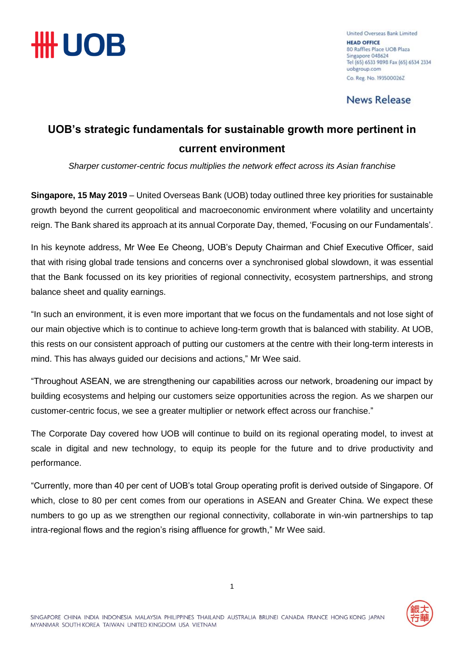

United Overseas Bank Limited **HEAD OFFICE** 80 Raffles Place UOB Plaza Singapore 048624 Tel (65) 6533 9898 Fax (65) 6534 2334 uobgroup.com Co. Reg. No. 1935000262

**News Release** 

## **UOB's strategic fundamentals for sustainable growth more pertinent in current environment**

*Sharper customer-centric focus multiplies the network effect across its Asian franchise*

**Singapore, 15 May 2019** – United Overseas Bank (UOB) today outlined three key priorities for sustainable growth beyond the current geopolitical and macroeconomic environment where volatility and uncertainty reign. The Bank shared its approach at its annual Corporate Day, themed, 'Focusing on our Fundamentals'.

In his keynote address, Mr Wee Ee Cheong, UOB's Deputy Chairman and Chief Executive Officer, said that with rising global trade tensions and concerns over a synchronised global slowdown, it was essential that the Bank focussed on its key priorities of regional connectivity, ecosystem partnerships, and strong balance sheet and quality earnings.

"In such an environment, it is even more important that we focus on the fundamentals and not lose sight of our main objective which is to continue to achieve long-term growth that is balanced with stability. At UOB, this rests on our consistent approach of putting our customers at the centre with their long-term interests in mind. This has always guided our decisions and actions," Mr Wee said.

"Throughout ASEAN, we are strengthening our capabilities across our network, broadening our impact by building ecosystems and helping our customers seize opportunities across the region. As we sharpen our customer-centric focus, we see a greater multiplier or network effect across our franchise."

The Corporate Day covered how UOB will continue to build on its regional operating model, to invest at scale in digital and new technology, to equip its people for the future and to drive productivity and performance.

"Currently, more than 40 per cent of UOB's total Group operating profit is derived outside of Singapore. Of which, close to 80 per cent comes from our operations in ASEAN and Greater China. We expect these numbers to go up as we strengthen our regional connectivity, collaborate in win-win partnerships to tap intra-regional flows and the region's rising affluence for growth," Mr Wee said.

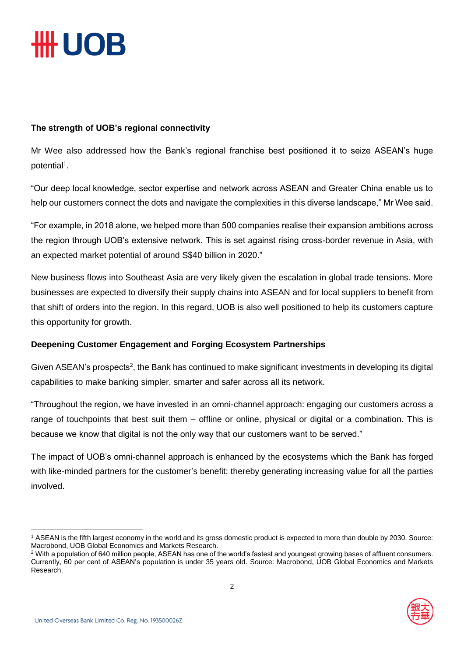# **\HH UOB**

### **The strength of UOB's regional connectivity**

Mr Wee also addressed how the Bank's regional franchise best positioned it to seize ASEAN's huge potential<sup>1</sup>.

"Our deep local knowledge, sector expertise and network across ASEAN and Greater China enable us to help our customers connect the dots and navigate the complexities in this diverse landscape," Mr Wee said.

"For example, in 2018 alone, we helped more than 500 companies realise their expansion ambitions across the region through UOB's extensive network. This is set against rising cross-border revenue in Asia, with an expected market potential of around S\$40 billion in 2020."

New business flows into Southeast Asia are very likely given the escalation in global trade tensions. More businesses are expected to diversify their supply chains into ASEAN and for local suppliers to benefit from that shift of orders into the region. In this regard, UOB is also well positioned to help its customers capture this opportunity for growth.

### **Deepening Customer Engagement and Forging Ecosystem Partnerships**

Given ASEAN's prospects<sup>2</sup>, the Bank has continued to make significant investments in developing its digital capabilities to make banking simpler, smarter and safer across all its network.

"Throughout the region, we have invested in an omni-channel approach: engaging our customers across a range of touchpoints that best suit them – offline or online, physical or digital or a combination. This is because we know that digital is not the only way that our customers want to be served."

The impact of UOB's omni-channel approach is enhanced by the ecosystems which the Bank has forged with like-minded partners for the customer's benefit; thereby generating increasing value for all the parties involved.

<sup>&</sup>lt;sup>2</sup> With a population of 640 million people, ASEAN has one of the world's fastest and youngest growing bases of affluent consumers. Currently, 60 per cent of ASEAN's population is under 35 years old. Source: Macrobond, UOB Global Economics and Markets Research.



 $\overline{a}$ <sup>1</sup> ASEAN is the fifth largest economy in the world and its gross domestic product is expected to more than double by 2030. Source: Macrobond, UOB Global Economics and Markets Research.